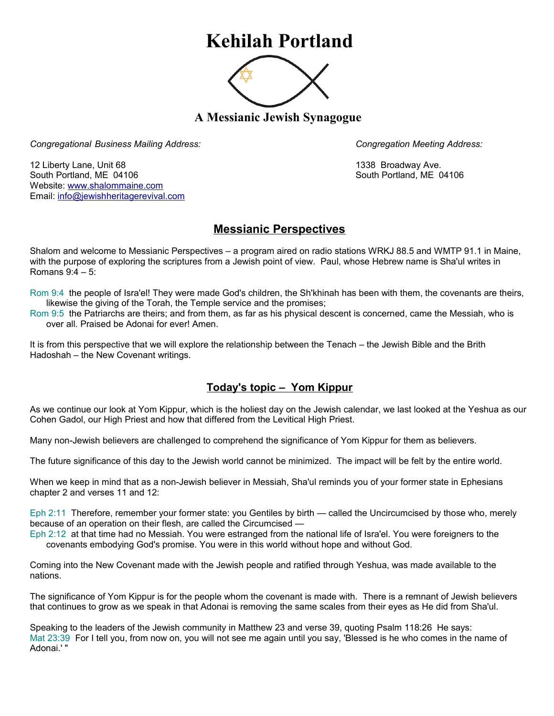## **Kehilah Portland**



**A Messianic Jewish Synagogue** 

*Congregational Business Mailing Address: Congregation Meeting Address:*

12 Liberty Lane, Unit 68 1338 Broadway Ave. South Portland, ME 04106 South Portland, ME 04106 Website: [www.shalommaine.com](http://www.shalommaine.com/) Email: [info@jewishheritagerevival.com](mailto:info@jewishheritagerevival.com) 

## **Messianic Perspectives**

Shalom and welcome to Messianic Perspectives – a program aired on radio stations WRKJ 88.5 and WMTP 91.1 in Maine, with the purpose of exploring the scriptures from a Jewish point of view. Paul, whose Hebrew name is Sha'ul writes in Romans 9:4 – 5:

Rom 9:4 the people of Isra'el! They were made God's children, the Sh'khinah has been with them, the covenants are theirs, likewise the giving of the Torah, the Temple service and the promises;

Rom 9:5 the Patriarchs are theirs; and from them, as far as his physical descent is concerned, came the Messiah, who is over all. Praised be Adonai for ever! Amen.

It is from this perspective that we will explore the relationship between the Tenach – the Jewish Bible and the Brith Hadoshah – the New Covenant writings.

## **Today's topic – Yom Kippur**

As we continue our look at Yom Kippur, which is the holiest day on the Jewish calendar, we last looked at the Yeshua as our Cohen Gadol, our High Priest and how that differed from the Levitical High Priest.

Many non-Jewish believers are challenged to comprehend the significance of Yom Kippur for them as believers.

The future significance of this day to the Jewish world cannot be minimized. The impact will be felt by the entire world.

When we keep in mind that as a non-Jewish believer in Messiah, Sha'ul reminds you of your former state in Ephesians chapter 2 and verses 11 and 12:

Eph 2:11 Therefore, remember your former state: you Gentiles by birth — called the Uncircumcised by those who, merely because of an operation on their flesh, are called the Circumcised —

Eph 2:12 at that time had no Messiah. You were estranged from the national life of Isra'el. You were foreigners to the covenants embodying God's promise. You were in this world without hope and without God.

Coming into the New Covenant made with the Jewish people and ratified through Yeshua, was made available to the nations.

The significance of Yom Kippur is for the people whom the covenant is made with. There is a remnant of Jewish believers that continues to grow as we speak in that Adonai is removing the same scales from their eyes as He did from Sha'ul.

Speaking to the leaders of the Jewish community in Matthew 23 and verse 39, quoting Psalm 118:26 He says: Mat 23:39 For I tell you, from now on, you will not see me again until you say, 'Blessed is he who comes in the name of Adonai.' "